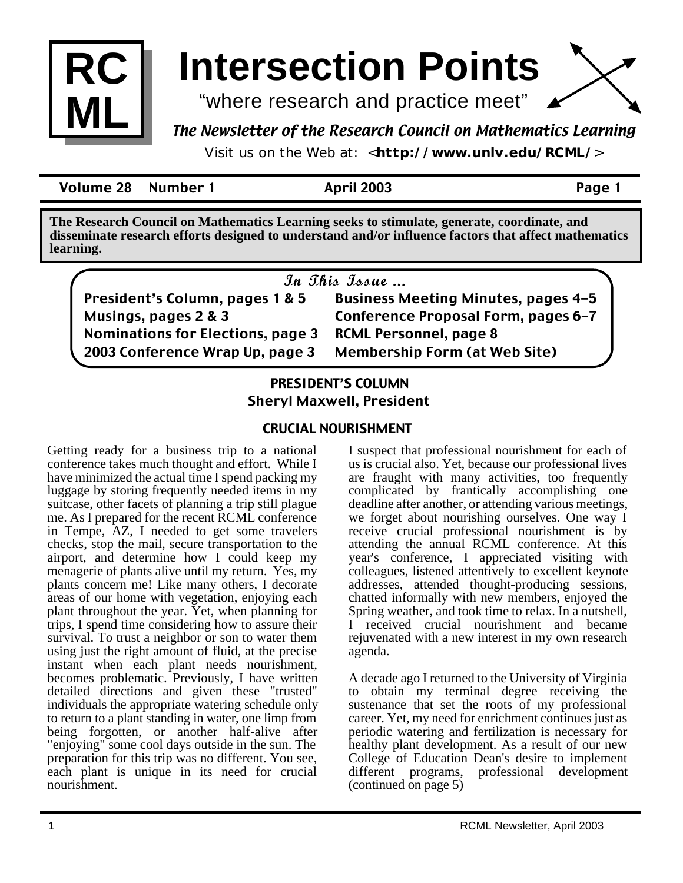

# **Intersection Points**

"where research and practice meet"

## The Newsletter of the Research Council on Mathematics Learning

Visit us on the Web at: <**http://www.unlv.edu/RCML/**>

Volume 28 Number 1 April 2003 Page 1

**The Research Council on Mathematics Learning seeks to stimulate, generate, coordinate, and disseminate research efforts designed to understand and/or influence factors that affect mathematics learning.**

| In This Issue                            |                                            |
|------------------------------------------|--------------------------------------------|
| President's Column, pages 1 & 5          | <b>Business Meeting Minutes, pages 4-5</b> |
| Musings, pages 2 & 3                     | Conference Proposal Form, pages 6-7        |
| <b>Nominations for Elections, page 3</b> | <b>RCML Personnel, page 8</b>              |
| 2003 Conference Wrap Up, page 3          | <b>Membership Form (at Web Site)</b>       |

## **PRESIDENT'S COLUMN** Sheryl Maxwell, President

## CRUCIAL NOURISHMENT

Getting ready for a business trip to a national conference takes much thought and effort. While I have minimized the actual time I spend packing my luggage by storing frequently needed items in my suitcase, other facets of planning a trip still plague me. As I prepared for the recent RCML conference in Tempe, AZ, I needed to get some travelers checks, stop the mail, secure transportation to the airport, and determine how I could keep my menagerie of plants alive until my return. Yes, my plants concern me! Like many others, I decorate areas of our home with vegetation, enjoying each plant throughout the year. Yet, when planning for trips, I spend time considering how to assure their survival. To trust a neighbor or son to water them using just the right amount of fluid, at the precise instant when each plant needs nourishment, becomes problematic. Previously, I have written detailed directions and given these "trusted" individuals the appropriate watering schedule only to return to a plant standing in water, one limp from being forgotten, or another half-alive after "enjoying" some cool days outside in the sun. The preparation for this trip was no different. You see, each plant is unique in its need for crucial nourishment.

I suspect that professional nourishment for each of us is crucial also. Yet, because our professional lives are fraught with many activities, too frequently complicated by frantically accomplishing one deadline after another, or attending various meetings, we forget about nourishing ourselves. One way I receive crucial professional nourishment is by attending the annual RCML conference. At this year's conference, I appreciated visiting with colleagues, listened attentively to excellent keynote addresses, attended thought-producing sessions, chatted informally with new members, enjoyed the Spring weather, and took time to relax. In a nutshell, I received crucial nourishment and became rejuvenated with a new interest in my own research agenda.

A decade ago I returned to the University of Virginia to obtain my terminal degree receiving the sustenance that set the roots of my professional career. Yet, my need for enrichment continues just as periodic watering and fertilization is necessary for healthy plant development. As a result of our new College of Education Dean's desire to implement different programs, professional development (continued on page 5)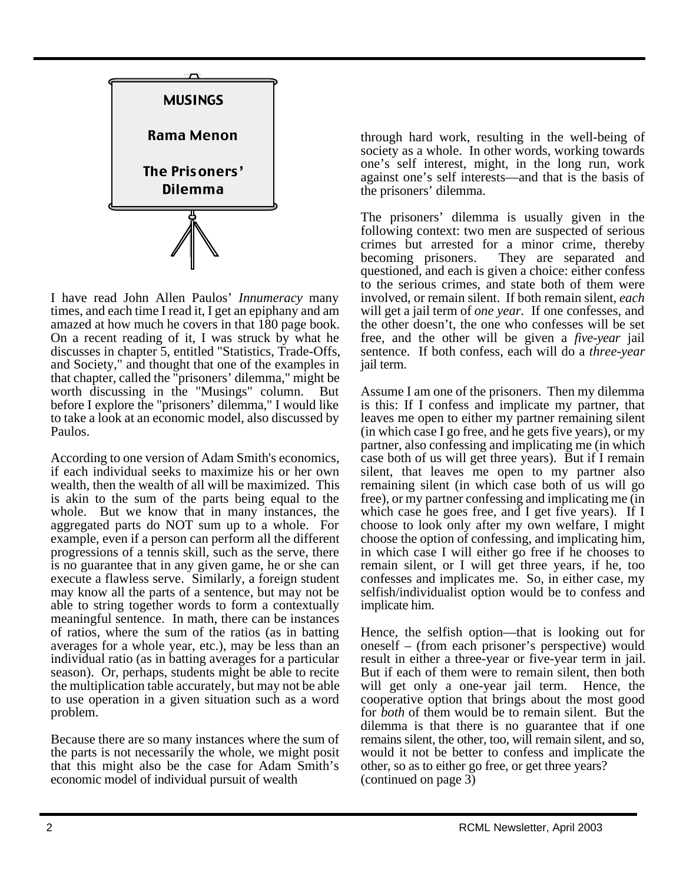

I have read John Allen Paulos' *Innumeracy* many times, and each time I read it, I get an epiphany and am amazed at how much he covers in that 180 page book. On a recent reading of it, I was struck by what he discusses in chapter 5, entitled "Statistics, Trade-Offs, and Society," and thought that one of the examples in that chapter, called the "prisoners' dilemma," might be worth discussing in the "Musings" column. But before I explore the "prisoners' dilemma," I would like to take a look at an economic model, also discussed by Paulos.

According to one version of Adam Smith's economics, if each individual seeks to maximize his or her own wealth, then the wealth of all will be maximized. This is akin to the sum of the parts being equal to the whole. But we know that in many instances, the aggregated parts do NOT sum up to a whole. For example, even if a person can perform all the different progressions of a tennis skill, such as the serve, there is no guarantee that in any given game, he or she can execute a flawless serve. Similarly, a foreign student may know all the parts of a sentence, but may not be able to string together words to form a contextually meaningful sentence. In math, there can be instances of ratios, where the sum of the ratios (as in batting averages for a whole year, etc.), may be less than an individual ratio (as in batting averages for a particular season). Or, perhaps, students might be able to recite the multiplication table accurately, but may not be able to use operation in a given situation such as a word problem.

Because there are so many instances where the sum of the parts is not necessarily the whole, we might posit that this might also be the case for Adam Smith's economic model of individual pursuit of wealth

through hard work, resulting in the well-being of society as a whole. In other words, working towards one's self interest, might, in the long run, work against one's self interests—and that is the basis of the prisoners' dilemma.

The prisoners' dilemma is usually given in the following context: two men are suspected of serious crimes but arrested for a minor crime, thereby<br>becoming prisoners. They are separated and They are separated and questioned, and each is given a choice: either confess to the serious crimes, and state both of them were involved, or remain silent. If both remain silent, *each* will get a jail term of *one year*. If one confesses, and the other doesn't, the one who confesses will be set free, and the other will be given a *five-year* jail sentence. If both confess, each will do a *three-year* jail term.

Assume I am one of the prisoners. Then my dilemma is this: If I confess and implicate my partner, that leaves me open to either my partner remaining silent (in which case I go free, and he gets five years), or my partner, also confessing and implicating me (in which case both of us will get three years). But if I remain silent, that leaves me open to my partner also remaining silent (in which case both of us will go free), or my partner confessing and implicating me (in which case he goes free, and I get five years). If I choose to look only after my own welfare, I might choose the option of confessing, and implicating him, in which case I will either go free if he chooses to remain silent, or I will get three years, if he, too confesses and implicates me. So, in either case, my selfish/individualist option would be to confess and implicate him.

Hence, the selfish option—that is looking out for oneself – (from each prisoner's perspective) would result in either a three-year or five-year term in jail. But if each of them were to remain silent, then both will get only a one-year jail term. Hence, the cooperative option that brings about the most good for *both* of them would be to remain silent. But the dilemma is that there is no guarantee that if one remains silent, the other, too, will remain silent, and so, would it not be better to confess and implicate the other, so as to either go free, or get three years? (continued on page 3)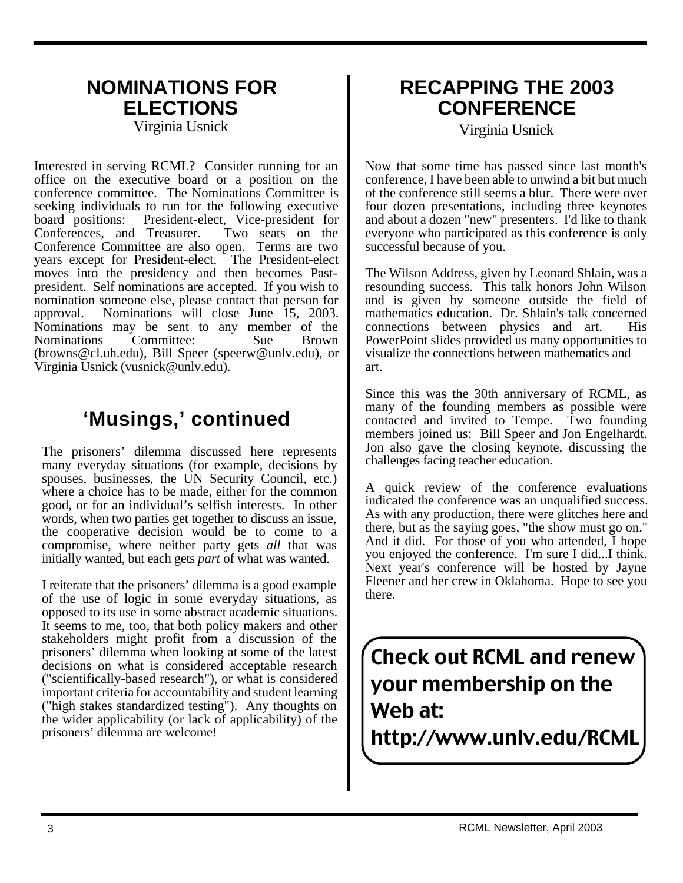# **NOMINATIONS FOR ELECTIONS**

Virginia Usnick

Interested in serving RCML? Consider running for an office on the executive board or a position on the conference committee. The Nominations Committee is seeking individuals to run for the following executive board positions: President-elect, Vice-president for<br>Conferences, and Treasurer. Two seats on the Conferences, and Treasurer. Conference Committee are also open. Terms are two years except for President-elect. The President-elect moves into the presidency and then becomes Pastpresident. Self nominations are accepted. If you wish to nomination someone else, please contact that person for approval. Nominations will close June 15, 2003. Nominations may be sent to any member of the Nominations Committee: Sue Brown (browns@cl.uh.edu), Bill Speer (speerw@unlv.edu), or Virginia Usnick (vusnick@unlv.edu).

# **'Musings,' continued**

The prisoners' dilemma discussed here represents many everyday situations (for example, decisions by spouses, businesses, the UN Security Council, etc.) where a choice has to be made, either for the common good, or for an individual's selfish interests. In other words, when two parties get together to discuss an issue, the cooperative decision would be to come to a compromise, where neither party gets *all* that was initially wanted, but each gets *part* of what was wanted.

I reiterate that the prisoners' dilemma is a good example of the use of logic in some everyday situations, as opposed to its use in some abstract academic situations. It seems to me, too, that both policy makers and other stakeholders might profit from a discussion of the prisoners' dilemma when looking at some of the latest decisions on what is considered acceptable research ("scientifically-based research"), or what is considered important criteria for accountability and student learning ("high stakes standardized testing"). Any thoughts on the wider applicability (or lack of applicability) of the prisoners' dilemma are welcome!

# **RECAPPING THE 2003 CONFERENCE**

Virginia Usnick

Now that some time has passed since last month's conference, I have been able to unwind a bit but much of the conference still seems a blur. There were over four dozen presentations, including three keynotes and about a dozen "new" presenters. I'd like to thank everyone who participated as this conference is only successful because of you.

The Wilson Address, given by Leonard Shlain, was a resounding success. This talk honors John Wilson and is given by someone outside the field of mathematics education. Dr. Shlain's talk concerned connections between physics and art. His PowerPoint slides provided us many opportunities to visualize the connections between mathematics and art.

Since this was the 30th anniversary of RCML, as many of the founding members as possible were contacted and invited to Tempe. Two founding members joined us: Bill Speer and Jon Engelhardt. Jon also gave the closing keynote, discussing the challenges facing teacher education.

A quick review of the conference evaluations indicated the conference was an unqualified success. As with any production, there were glitches here and there, but as the saying goes, "the show must go on." And it did. For those of you who attended, I hope you enjoyed the conference. I'm sure I did...I think. Next year's conference will be hosted by Jayne Fleener and her crew in Oklahoma. Hope to see you there.

Check out RCML and renew your membership on the Web at: http://www.unlv.edu/RCML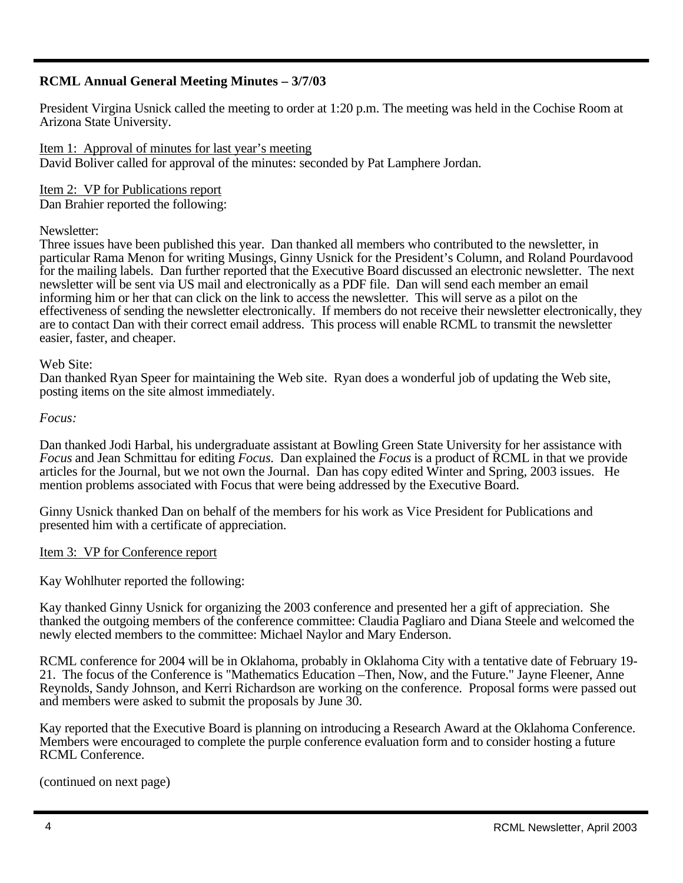## **RCML Annual General Meeting Minutes – 3/7/03**

President Virgina Usnick called the meeting to order at 1:20 p.m. The meeting was held in the Cochise Room at Arizona State University.

Item 1: Approval of minutes for last year's meeting David Boliver called for approval of the minutes: seconded by Pat Lamphere Jordan.

Item 2: VP for Publications report Dan Brahier reported the following:

## Newsletter:

Three issues have been published this year. Dan thanked all members who contributed to the newsletter, in particular Rama Menon for writing Musings, Ginny Usnick for the President's Column, and Roland Pourdavood for the mailing labels. Dan further reported that the Executive Board discussed an electronic newsletter. The next newsletter will be sent via US mail and electronically as a PDF file. Dan will send each member an email informing him or her that can click on the link to access the newsletter. This will serve as a pilot on the effectiveness of sending the newsletter electronically. If members do not receive their newsletter electronically, they are to contact Dan with their correct email address. This process will enable RCML to transmit the newsletter easier, faster, and cheaper.

## Web Site:

Dan thanked Ryan Speer for maintaining the Web site. Ryan does a wonderful job of updating the Web site, posting items on the site almost immediately.

## *Focus:*

Dan thanked Jodi Harbal, his undergraduate assistant at Bowling Green State University for her assistance with *Focus* and Jean Schmittau for editing *Focus*. Dan explained the *Focus* is a product of RCML in that we provide articles for the Journal, but we not own the Journal. Dan has copy edited Winter and Spring, 2003 issues. He mention problems associated with Focus that were being addressed by the Executive Board.

Ginny Usnick thanked Dan on behalf of the members for his work as Vice President for Publications and presented him with a certificate of appreciation.

## Item 3: VP for Conference report

Kay Wohlhuter reported the following:

Kay thanked Ginny Usnick for organizing the 2003 conference and presented her a gift of appreciation. She thanked the outgoing members of the conference committee: Claudia Pagliaro and Diana Steele and welcomed the newly elected members to the committee: Michael Naylor and Mary Enderson.

RCML conference for 2004 will be in Oklahoma, probably in Oklahoma City with a tentative date of February 19- 21. The focus of the Conference is "Mathematics Education –Then, Now, and the Future." Jayne Fleener, Anne Reynolds, Sandy Johnson, and Kerri Richardson are working on the conference. Proposal forms were passed out and members were asked to submit the proposals by June 30.

Kay reported that the Executive Board is planning on introducing a Research Award at the Oklahoma Conference. Members were encouraged to complete the purple conference evaluation form and to consider hosting a future RCML Conference.

(continued on next page)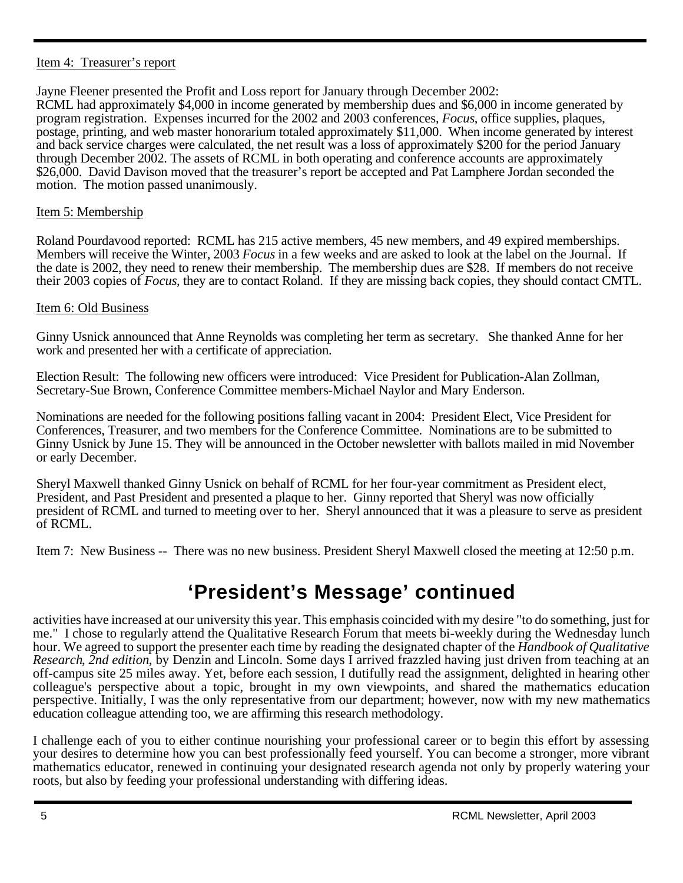## Item 4: Treasurer's report

Jayne Fleener presented the Profit and Loss report for January through December 2002: RCML had approximately \$4,000 in income generated by membership dues and \$6,000 in income generated by program registration. Expenses incurred for the 2002 and 2003 conferences, *Focus*, office supplies, plaques, postage, printing, and web master honorarium totaled approximately \$11,000. When income generated by interest and back service charges were calculated, the net result was a loss of approximately \$200 for the period January through December 2002. The assets of RCML in both operating and conference accounts are approximately \$26,000. David Davison moved that the treasurer's report be accepted and Pat Lamphere Jordan seconded the motion. The motion passed unanimously.

## Item 5: Membership

Roland Pourdavood reported: RCML has 215 active members, 45 new members, and 49 expired memberships. Members will receive the Winter, 2003 *Focus* in a few weeks and are asked to look at the label on the Journal. If the date is 2002, they need to renew their membership. The membership dues are \$28. If members do not receive their 2003 copies of *Focus*, they are to contact Roland. If they are missing back copies, they should contact CMTL.

## Item 6: Old Business

Ginny Usnick announced that Anne Reynolds was completing her term as secretary. She thanked Anne for her work and presented her with a certificate of appreciation.

Election Result: The following new officers were introduced: Vice President for Publication-Alan Zollman, Secretary-Sue Brown, Conference Committee members-Michael Naylor and Mary Enderson.

Nominations are needed for the following positions falling vacant in 2004: President Elect, Vice President for Conferences, Treasurer, and two members for the Conference Committee. Nominations are to be submitted to Ginny Usnick by June 15. They will be announced in the October newsletter with ballots mailed in mid November or early December.

Sheryl Maxwell thanked Ginny Usnick on behalf of RCML for her four-year commitment as President elect, President, and Past President and presented a plaque to her. Ginny reported that Sheryl was now officially president of RCML and turned to meeting over to her. Sheryl announced that it was a pleasure to serve as president of RCML.

Item 7: New Business -- There was no new business. President Sheryl Maxwell closed the meeting at 12:50 p.m.

# **'President's Message' continued**

activities have increased at our university this year. This emphasis coincided with my desire "to do something, just for me." I chose to regularly attend the Qualitative Research Forum that meets bi-weekly during the Wednesday lunch hour. We agreed to support the presenter each time by reading the designated chapter of the *Handbook of Qualitative Research*, *2nd edition*, by Denzin and Lincoln. Some days I arrived frazzled having just driven from teaching at an off-campus site 25 miles away. Yet, before each session, I dutifully read the assignment, delighted in hearing other colleague's perspective about a topic, brought in my own viewpoints, and shared the mathematics education perspective. Initially, I was the only representative from our department; however, now with my new mathematics education colleague attending too, we are affirming this research methodology.

I challenge each of you to either continue nourishing your professional career or to begin this effort by assessing your desires to determine how you can best professionally feed yourself. You can become a stronger, more vibrant mathematics educator, renewed in continuing your designated research agenda not only by properly watering your roots, but also by feeding your professional understanding with differing ideas.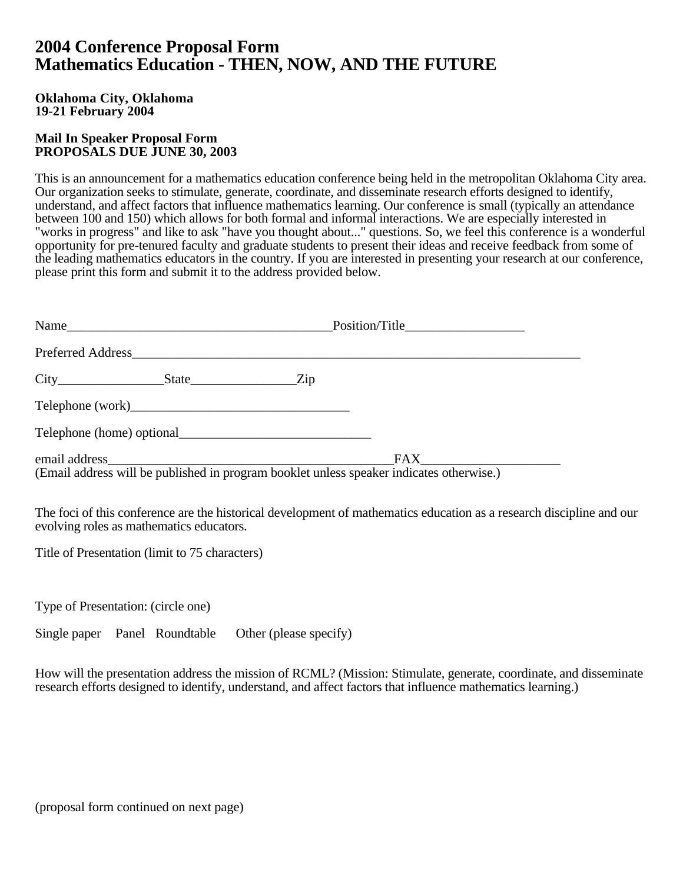## **2004 Conference Proposal Form Mathematics Education - THEN, NOW, AND THE FUTURE**

## **Oklahoma City, Oklahoma 19-21 February 2004**

## **Mail In Speaker Proposal Form PROPOSALS DUE JUNE 30, 2003**

This is an announcement for a mathematics education conference being held in the metropolitan Oklahoma City area. Our organization seeks to stimulate, generate, coordinate, and disseminate research efforts designed to identify, understand, and affect factors that influence mathematics learning. Our conference is small (typically an attendance between 100 and 150) which allows for both formal and informal interactions. We are especially interested in "works in progress" and like to ask "have you thought about..." questions. So, we feel this conference is a wonderful opportunity for pre-tenured faculty and graduate students to present their ideas and receive feedback from some of the leading mathematics educators in the country. If you are interested in presenting your research at our conference, please print this form and submit it to the address provided below.

| Name                                                                                     |         |
|------------------------------------------------------------------------------------------|---------|
|                                                                                          |         |
|                                                                                          |         |
|                                                                                          |         |
| Telephone (home) optional                                                                |         |
| (Email address will be published in program booklet unless speaker indicates otherwise.) | FAX FAX |

The foci of this conference are the historical development of mathematics education as a research discipline and our evolving roles as mathematics educators.

Title of Presentation (limit to 75 characters)

Type of Presentation: (circle one)

Single paper Panel Roundtable Other (please specify)

How will the presentation address the mission of RCML? (Mission: Stimulate, generate, coordinate, and disseminate research efforts designed to identify, understand, and affect factors that influence mathematics learning.)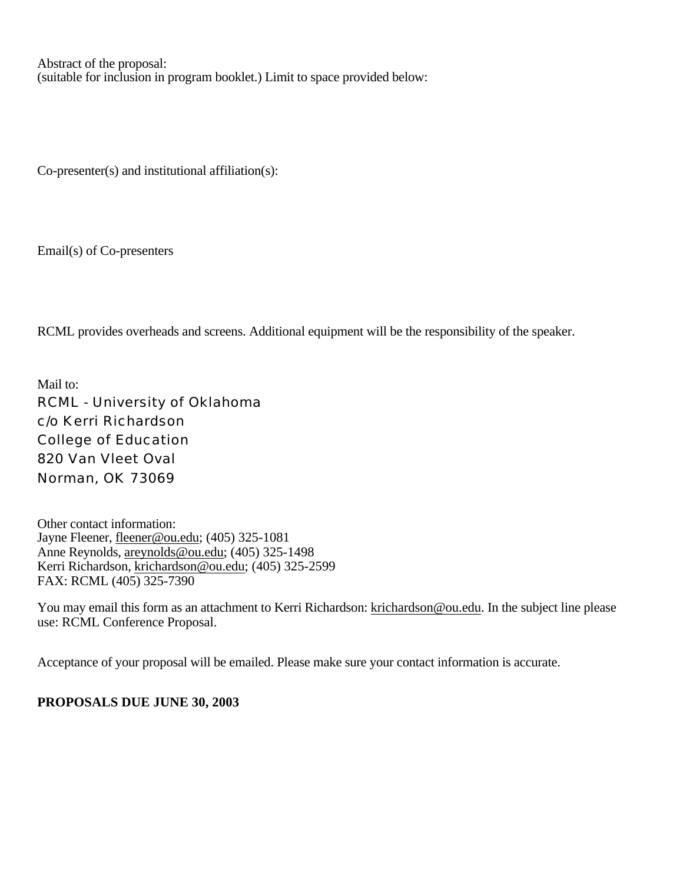Abstract of the proposal: (suitable for inclusion in program booklet.) Limit to space provided below:

Co-presenter(s) and institutional affiliation(s):

Email(s) of Co-presenters

RCML provides overheads and screens. Additional equipment will be the responsibility of the speaker.

Mail to: RCML - University of Oklahoma c/o Kerri Richardson College of Education 820 Van Vleet Oval Norman, OK 73069

Other contact information: Jayne Fleener, fleener@ou.edu; (405) 325-1081 Anne Reynolds, areynolds@ou.edu; (405) 325-1498 Kerri Richardson, krichardson@ou.edu; (405) 325-2599 FAX: RCML (405) 325-7390

You may email this form as an attachment to Kerri Richardson: krichardson@ou.edu. In the subject line please use: RCML Conference Proposal.

Acceptance of your proposal will be emailed. Please make sure your contact information is accurate.

**PROPOSALS DUE JUNE 30, 2003**